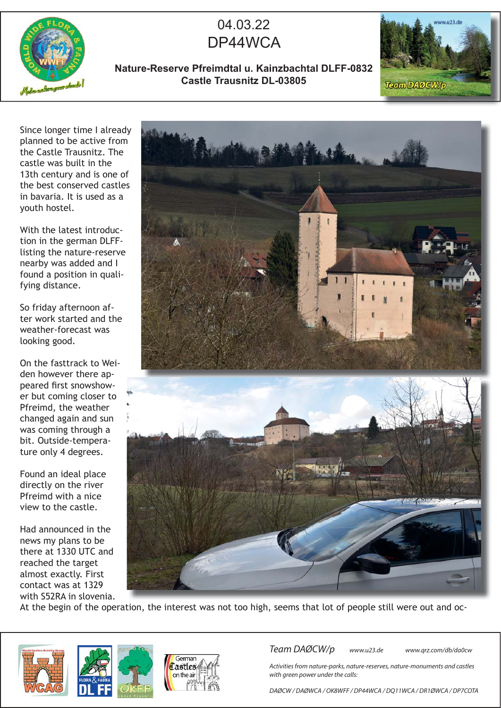

## 04.03.22 DP44WCA

**Nature-Reserve Pfreimdtal u. Kainzbachtal DLFF-0832 Castle Trausnitz DL-03805**



Since longer time I already planned to be active from the Castle Trausnitz. The castle was built in the 13th century and is one of the best conserved castles in bavaria. It is used as a youth hostel.

With the latest introduction in the german DLFFlisting the nature-reserve nearby was added and I found a position in qualifying distance.

So friday afternoon after work started and the weather-forecast was looking good.

On the fasttrack to Weiden however there appeared first snowshower but coming closer to Pfreimd, the weather changed again and sun was coming through a bit. Outside-temperature only 4 degrees.

Found an ideal place directly on the river Pfreimd with a nice view to the castle.

Had announced in the news my plans to be there at 1330 UTC and reached the target almost exactly. First contact was at 1329 with S52RA in slovenia.



At the begin of the operation, the interest was not too high, seems that lot of people still were out and oc-







Team DAØCW/p www.u23.de www.qrz.com/db/da0cw

Activities from nature-parks, nature-reserves, nature-monuments and castles with green power under the calls:

DAØCW / DAØWCA / OK8WFF / DP44WCA / DQ11WCA / DR1ØWCA / DP7COTA